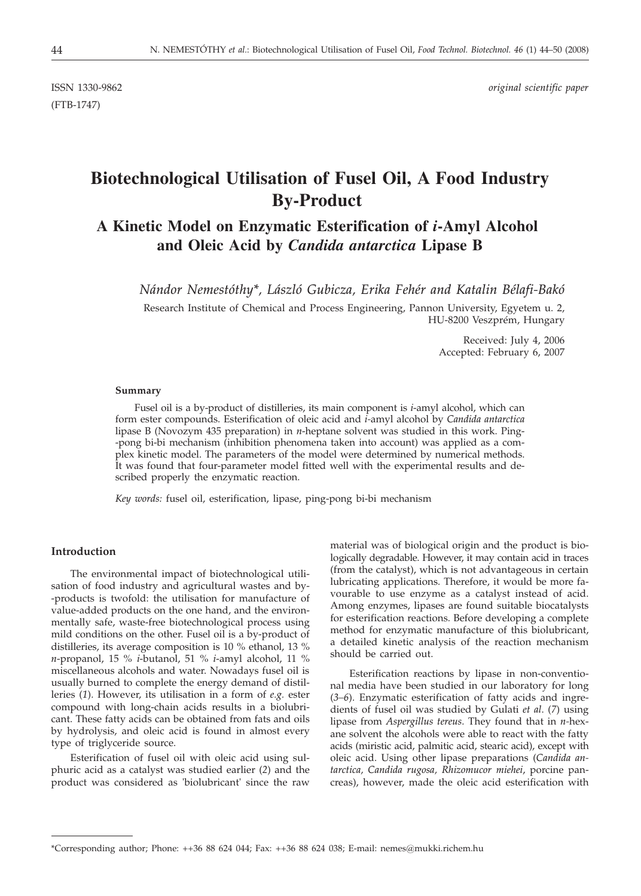(FTB-1747)

ISSN 1330-9862 *original scientific paper*

# **Biotechnological Utilisation of Fusel Oil, A Food Industry By-Product**

# **A Kinetic Model on Enzymatic Esterification of** *i***-Amyl Alcohol and Oleic Acid by** *Candida antarctica* **Lipase B**

*Nándor Nemestóthy\*, László Gubicza, Erika Fehér and Katalin Bélafi-Bakó*

Research Institute of Chemical and Process Engineering, Pannon University, Egyetem u. 2, HU-8200 Veszprém, Hungary

> Received: July 4, 2006 Accepted: February 6, 2007

#### **Summary**

Fusel oil is a by-product of distilleries, its main component is *i*-amyl alcohol, which can form ester compounds. Esterification of oleic acid and *i-*amyl alcohol by *Candida antarctica* lipase B (Novozym 435 preparation) in *n*-heptane solvent was studied in this work. Ping- -pong bi-bi mechanism (inhibition phenomena taken into account) was applied as a complex kinetic model. The parameters of the model were determined by numerical methods. It was found that four-parameter model fitted well with the experimental results and described properly the enzymatic reaction.

*Key words:* fusel oil, esterification, lipase, ping-pong bi-bi mechanism

# **Introduction**

The environmental impact of biotechnological utilisation of food industry and agricultural wastes and by- -products is twofold: the utilisation for manufacture of value-added products on the one hand, and the environmentally safe, waste-free biotechnological process using mild conditions on the other. Fusel oil is a by-product of distilleries, its average composition is 10 % ethanol, 13 % *n*-propanol, 15 % *i*-butanol, 51 % *i*-amyl alcohol, 11 % miscellaneous alcohols and water. Nowadays fusel oil is usually burned to complete the energy demand of distilleries (*1*). However, its utilisation in a form of *e.g.* ester compound with long-chain acids results in a biolubricant. These fatty acids can be obtained from fats and oils by hydrolysis, and oleic acid is found in almost every type of triglyceride source.

Esterification of fusel oil with oleic acid using sulphuric acid as a catalyst was studied earlier (*2*) and the product was considered as 'biolubricant' since the raw

material was of biological origin and the product is biologically degradable. However, it may contain acid in traces (from the catalyst), which is not advantageous in certain lubricating applications. Therefore, it would be more favourable to use enzyme as a catalyst instead of acid. Among enzymes, lipases are found suitable biocatalysts for esterification reactions. Before developing a complete method for enzymatic manufacture of this biolubricant, a detailed kinetic analysis of the reaction mechanism should be carried out.

Esterification reactions by lipase in non-conventional media have been studied in our laboratory for long (*3–6*). Enzymatic esterification of fatty acids and ingredients of fusel oil was studied by Gulati *et al*. (*7*) using lipase from *Aspergillus tereus*. They found that in *n-*hexane solvent the alcohols were able to react with the fatty acids (miristic acid, palmitic acid, stearic acid), except with oleic acid. Using other lipase preparations (*Candida antarctica, Candida rugosa, Rhizomucor miehei*, porcine pancreas), however, made the oleic acid esterification with

<sup>\*</sup>Corresponding author; Phone: ++36 88 624 044; Fax: ++36 88 624 038; E-mail: nemes*@*mukki.richem.hu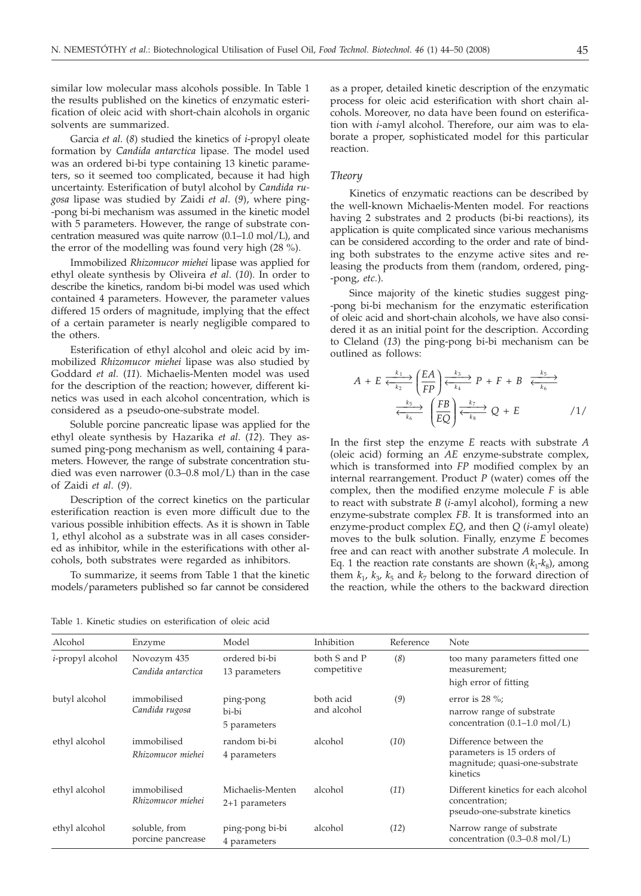similar low molecular mass alcohols possible. In Table 1 the results published on the kinetics of enzymatic esterification of oleic acid with short-chain alcohols in organic solvents are summarized.

Garcia *et al*. (*8*) studied the kinetics of *i*-propyl oleate formation by *Candida antarctica* lipase. The model used was an ordered bi-bi type containing 13 kinetic parameters, so it seemed too complicated, because it had high uncertainty. Esterification of butyl alcohol by *Candida rugosa* lipase was studied by Zaidi *et al*. (*9*), where ping- -pong bi-bi mechanism was assumed in the kinetic model with 5 parameters. However, the range of substrate concentration measured was quite narrow (0.1–1.0 mol/L), and the error of the modelling was found very high (28 %).

Immobilized *Rhizomucor miehei* lipase was applied for ethyl oleate synthesis by Oliveira *et al*. (*10*). In order to describe the kinetics, random bi-bi model was used which contained 4 parameters. However, the parameter values differed 15 orders of magnitude, implying that the effect of a certain parameter is nearly negligible compared to the others.

Esterification of ethyl alcohol and oleic acid by immobilized *Rhizomucor miehei* lipase was also studied by Goddard *et al.* (*11*). Michaelis-Menten model was used for the description of the reaction; however, different kinetics was used in each alcohol concentration, which is considered as a pseudo-one-substrate model.

Soluble porcine pancreatic lipase was applied for the ethyl oleate synthesis by Hazarika *et al*. (*12*). They assumed ping-pong mechanism as well, containing 4 parameters. However, the range of substrate concentration studied was even narrower (0.3–0.8 mol/L) than in the case of Zaidi *et al*. (*9*).

Description of the correct kinetics on the particular esterification reaction is even more difficult due to the various possible inhibition effects. As it is shown in Table 1, ethyl alcohol as a substrate was in all cases considered as inhibitor, while in the esterifications with other alcohols, both substrates were regarded as inhibitors.

To summarize, it seems from Table 1 that the kinetic models/parameters published so far cannot be considered

as a proper, detailed kinetic description of the enzymatic process for oleic acid esterification with short chain alcohols. Moreover, no data have been found on esterification with *i*-amyl alcohol. Therefore, our aim was to elaborate a proper, sophisticated model for this particular reaction.

## *Theory*

Kinetics of enzymatic reactions can be described by the well-known Michaelis-Menten model. For reactions having 2 substrates and 2 products (bi-bi reactions), its application is quite complicated since various mechanisms can be considered according to the order and rate of binding both substrates to the enzyme active sites and releasing the products from them (random, ordered, ping- -pong, *etc.*).

Since majority of the kinetic studies suggest ping- -pong bi-bi mechanism for the enzymatic esterification of oleic acid and short-chain alcohols, we have also considered it as an initial point for the description. According to Cleland (*13*) the ping-pong bi-bi mechanism can be outlined as follows:

$$
A + E \xleftarrow[k_1]{k_1} \underbrace{\left(\frac{EA}{FP}\right) \xleftarrow[k_3]{k_3} P + F + B \xleftarrow[k_5]{k_5} \xleftarrow[k_6]{k_6}}
$$
\n
$$
\xleftarrow[k_6]{k_5} \underbrace{\left(\frac{FB}{EQ}\right) \xleftarrow[k_7]{k_7}}_{k_8} Q + E \qquad \qquad /1/
$$

In the first step the enzyme *E* reacts with substrate *A* (oleic acid) forming an *AE* enzyme-substrate complex, which is transformed into *FP* modified complex by an internal rearrangement. Product *P* (water) comes off the complex, then the modified enzyme molecule *F* is able to react with substrate *B* (*i*-amyl alcohol), forming a new enzyme-substrate complex *FB*. It is transformed into an enzyme-product complex *EQ*, and then *Q* (*i*-amyl oleate) moves to the bulk solution. Finally, enzyme *E* becomes free and can react with another substrate *A* molecule. In Eq. 1 the reaction rate constants are shown  $(k_1-k_8)$ , among them  $k_1$ ,  $k_3$ ,  $k_5$  and  $k_7$  belong to the forward direction of the reaction, while the others to the backward direction

Table 1. Kinetic studies on esterification of oleic acid

| Alcohol                  | Enzyme                             | Model                                | Inhibition                  | Reference | Note                                                                                               |
|--------------------------|------------------------------------|--------------------------------------|-----------------------------|-----------|----------------------------------------------------------------------------------------------------|
| <i>i</i> -propyl alcohol | Novozym 435<br>Candida antarctica  | ordered bi-bi<br>13 parameters       | both S and P<br>competitive | (8)       | too many parameters fitted one<br>measurement;<br>high error of fitting                            |
| butyl alcohol            | immobilised<br>Candida rugosa      | ping-pong<br>bi-bi<br>5 parameters   | both acid<br>and alcohol    | (9)       | error is $28\%$ ;<br>narrow range of substrate<br>concentration $(0.1-1.0 \text{ mol/L})$          |
| ethyl alcohol            | immobilised<br>Rhizomucor miehei   | random bi-bi<br>4 parameters         | alcohol                     | (10)      | Difference between the<br>parameters is 15 orders of<br>magnitude; quasi-one-substrate<br>kinetics |
| ethyl alcohol            | immobilised<br>Rhizomucor miehei   | Michaelis-Menten<br>$2+1$ parameters | alcohol                     | (11)      | Different kinetics for each alcohol<br>concentration;<br>pseudo-one-substrate kinetics             |
| ethyl alcohol            | soluble, from<br>porcine pancrease | ping-pong bi-bi<br>4 parameters      | alcohol                     | (12)      | Narrow range of substrate<br>concentration $(0.3-0.8 \text{ mol/L})$                               |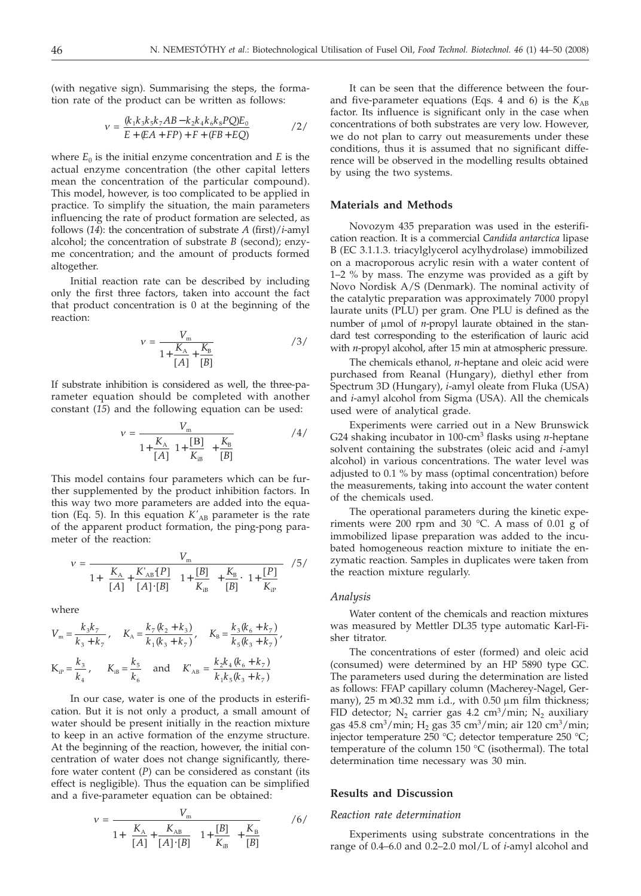(with negative sign). Summarising the steps, the formation rate of the product can be written as follows:

$$
v = \frac{(k_1 k_3 k_5 k_7 AB - k_2 k_4 k_6 k_8 PQ) E_0}{E + (EA + FP) + F + (FB + EQ)}
$$
 /2/

where  $E_0$  is the initial enzyme concentration and  $E$  is the actual enzyme concentration (the other capital letters mean the concentration of the particular compound). This model, however, is too complicated to be applied in practice. To simplify the situation, the main parameters influencing the rate of product formation are selected, as follows (*14*): the concentration of substrate *A* (first)/*i*-amyl alcohol; the concentration of substrate *B* (second); enzyme concentration; and the amount of products formed altogether.

Initial reaction rate can be described by including only the first three factors, taken into account the fact that product concentration is 0 at the beginning of the reaction:

$$
v = \frac{V_{\rm m}}{1 + \frac{K_{\rm A}}{[A]} + \frac{K_{\rm B}}{[B]}} \tag{3/}
$$

If substrate inhibition is considered as well, the three-parameter equation should be completed with another constant (*15*) and the following equation can be used:

$$
v = \frac{V_{\rm m}}{1 + \frac{K_{\rm A}}{[A]}\left(1 + \frac{[B]}{K_{\rm iB}}\right) + \frac{K_{\rm B}}{[B]}}\tag{4/}
$$

This model contains four parameters which can be further supplemented by the product inhibition factors. In this way two more parameters are added into the equation (Eq. 5). In this equation  $K'_{AB}$  parameter is the rate of the apparent product formation, the ping-pong parameter of the reaction:

$$
v = \frac{V_{\rm m}}{1 + \left(\frac{K_{\rm A}}{[A] + \frac{K_{\rm AB}[P]}{[A] \cdot [B]}\right) \left(1 + \frac{[B]}{K_{\rm iB}}\right) + \frac{K_{\rm B}}{[B]}\cdot \left(1 + \frac{[P]}{K_{\rm iP}}\right)} \quad /5 /
$$

where

$$
V_{\rm m} = \frac{k_3 k_7}{k_3 + k_7}, \quad K_{\rm A} = \frac{k_7 (k_2 + k_3)}{k_1 (k_3 + k_7)}, \quad K_{\rm B} = \frac{k_3 (k_6 + k_7)}{k_5 (k_3 + k_7)},
$$
  

$$
K_{\rm iP} = \frac{k_3}{k_4}, \quad K_{\rm iB} = \frac{k_5}{k_6} \quad \text{and} \quad K_{\rm AB} = \frac{k_2 k_4 (k_6 + k_7)}{k_1 k_5 (k_3 + k_7)}
$$

In our case, water is one of the products in esterification. But it is not only a product, a small amount of water should be present initially in the reaction mixture to keep in an active formation of the enzyme structure. At the beginning of the reaction, however, the initial concentration of water does not change significantly, therefore water content (*P*) can be considered as constant (its effect is negligible). Thus the equation can be simplified and a five-parameter equation can be obtained:

$$
v = \frac{V_{\rm m}}{1 + \left(\frac{K_{\rm A}}{[A]} + \frac{K_{\rm AB}}{[A] \cdot [B]}\right) \left(1 + \frac{[B]}{K_{\rm IB}}\right) + \frac{K_{\rm B}}{[B]}} \tag{6/}
$$

It can be seen that the difference between the fourand five-parameter equations (Eqs. 4 and 6) is the  $K_{AB}$ factor. Its influence is significant only in the case when concentrations of both substrates are very low. However, we do not plan to carry out measurements under these conditions, thus it is assumed that no significant difference will be observed in the modelling results obtained by using the two systems.

## **Materials and Methods**

Novozym 435 preparation was used in the esterification reaction. It is a commercial *Candida antarctica* lipase B (EC 3.1.1.3. triacylglycerol acylhydrolase) immobilized on a macroporous acrylic resin with a water content of 1–2 % by mass. The enzyme was provided as a gift by Novo Nordisk A/S (Denmark). The nominal activity of the catalytic preparation was approximately 7000 propyl laurate units (PLU) per gram. One PLU is defined as the number of µmol of *n*-propyl laurate obtained in the standard test corresponding to the esterification of lauric acid with *n*-propyl alcohol, after 15 min at atmospheric pressure.

The chemicals ethanol, *n*-heptane and oleic acid were purchased from Reanal (Hungary), diethyl ether from Spectrum 3D (Hungary), *i*-amyl oleate from Fluka (USA) and *i*-amyl alcohol from Sigma (USA). All the chemicals used were of analytical grade.

Experiments were carried out in a New Brunswick G24 shaking incubator in 100-cm3 flasks using *n*-heptane solvent containing the substrates (oleic acid and *i*-amyl alcohol) in various concentrations. The water level was adjusted to 0.1 % by mass (optimal concentration) before the measurements, taking into account the water content of the chemicals used.

The operational parameters during the kinetic experiments were 200 rpm and 30  $^{\circ}$ C. A mass of 0.01 g of immobilized lipase preparation was added to the incubated homogeneous reaction mixture to initiate the enzymatic reaction. Samples in duplicates were taken from the reaction mixture regularly.

#### *Analysis*

Water content of the chemicals and reaction mixtures was measured by Mettler DL35 type automatic Karl-Fisher titrator.

The concentrations of ester (formed) and oleic acid (consumed) were determined by an HP 5890 type GC. The parameters used during the determination are listed as follows: FFAP capillary column (Macherey-Nagel, Germany),  $25 \text{ m} \times 0.32 \text{ mm}$  i.d., with 0.50  $\mu$ m film thickness; FID detector; N<sub>2</sub> carrier gas 4.2 cm<sup>3</sup>/min; N<sub>2</sub> auxiliary gas 45.8 cm<sup>3</sup>/min; H<sub>2</sub> gas 35 cm<sup>3</sup>/min; air 120 cm<sup>3</sup>/min; injector temperature 250 °C; detector temperature 250 °C; temperature of the column 150 °C (isothermal). The total determination time necessary was 30 min.

#### **Results and Discussion**

#### *Reaction rate determination*

Experiments using substrate concentrations in the range of 0.4–6.0 and 0.2–2.0 mol/L of *i*-amyl alcohol and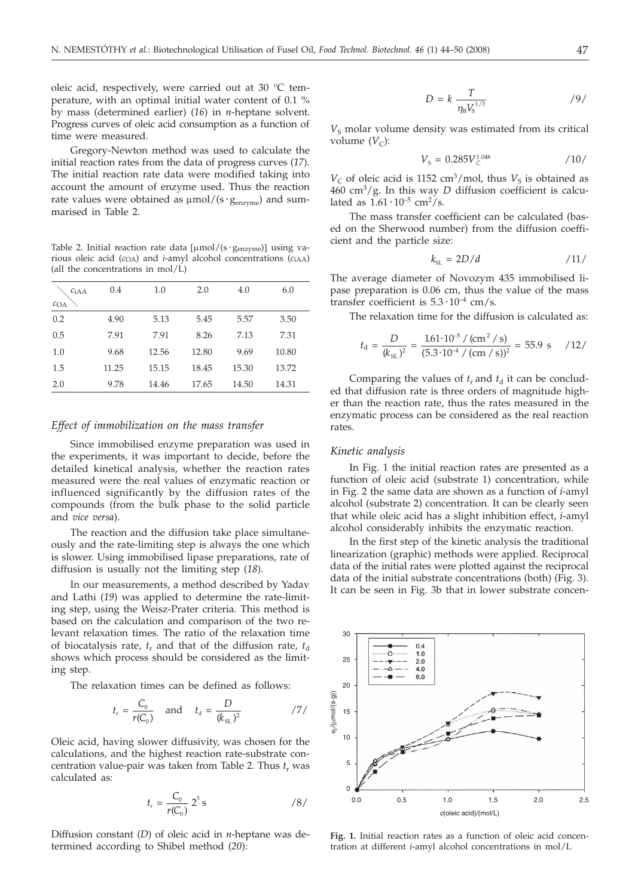oleic acid, respectively, were carried out at 30 °C temperature, with an optimal initial water content of 0.1 % by mass (determined earlier) (*16*) in *n*-heptane solvent. Progress curves of oleic acid consumption as a function of time were measured.

Gregory-Newton method was used to calculate the initial reaction rates from the data of progress curves (*17*). The initial reaction rate data were modified taking into account the amount of enzyme used. Thus the reaction rate values were obtained as  $\mu$ mol/(s ·  $g_{\text{enzyme}}$ ) and summarised in Table 2.

Table 2. Initial reaction rate data  $[\mu \text{mol}/(s \cdot g_{\text{enzvme}})]$  using various oleic acid (*c*OA) and *i*-amyl alcohol concentrations (*c*iAA) (all the concentrations in mol/L)

| c <sub>iAA</sub> | 0.4   | 1.0   | 2.0   | 4.0   | 6.0   |
|------------------|-------|-------|-------|-------|-------|
| COA              |       |       |       |       |       |
| 0.2              | 4.90  | 5.13  | 5.45  | 5.57  | 3.50  |
| 0.5              | 7.91  | 7.91  | 8.26  | 7.13  | 7.31  |
| 1.0              | 9.68  | 12.56 | 12.80 | 9.69  | 10.80 |
| 1.5              | 11.25 | 15.15 | 18.45 | 15.30 | 13.72 |
| 2.0              | 9.78  | 14.46 | 17.65 | 14.50 | 14.31 |

#### *Effect of immobilization on the mass transfer*

Since immobilised enzyme preparation was used in the experiments, it was important to decide, before the detailed kinetical analysis, whether the reaction rates measured were the real values of enzymatic reaction or influenced significantly by the diffusion rates of the compounds (from the bulk phase to the solid particle and *vice versa*).

The reaction and the diffusion take place simultaneously and the rate-limiting step is always the one which is slower. Using immobilised lipase preparations, rate of diffusion is usually not the limiting step (*18*).

In our measurements, a method described by Yadav and Lathi (*19*) was applied to determine the rate-limiting step, using the Weisz-Prater criteria. This method is based on the calculation and comparison of the two relevant relaxation times. The ratio of the relaxation time of biocatalysis rate,  $t_r$  and that of the diffusion rate,  $t_d$ shows which process should be considered as the limiting step.

The relaxation times can be defined as follows:

$$
t_r = \frac{C_0}{r(C_0)}
$$
 and  $t_d = \frac{D}{(k_{SL})^2}$  /7/

Oleic acid, having slower diffusivity, was chosen for the calculations, and the highest reaction rate-substrate concentration value-pair was taken from Table 2. Thus  $t_r$  was calculated as:

$$
t_{\rm r} = \frac{C_0}{r(C_0)} 2^5 \,\mathrm{s} \tag{8/}
$$

Diffusion constant (*D*) of oleic acid in *n*-heptane was determined according to Shibel method (*20*):

$$
D = k \frac{T}{\eta_{\rm B} V_{\rm S}^{1/3}} \tag{9}
$$

 $V<sub>S</sub>$  molar volume density was estimated from its critical volume  $(V<sub>C</sub>)$ :

$$
V_{\rm s} = 0.285 V_{\rm c}^{1.048} \tag{10}
$$

 $V<sub>C</sub>$  of oleic acid is 1152 cm<sup>3</sup>/mol, thus  $V<sub>S</sub>$  is obtained as  $460 \text{ cm}^3/\text{g}$ . In this way *D* diffusion coefficient is calculated as  $1.61 \cdot 10^{-5}$  cm<sup>2</sup>/s.

The mass transfer coefficient can be calculated (based on the Sherwood number) from the diffusion coefficient and the particle size:

$$
k_{\rm SL} = 2D/d \tag{11}
$$

The average diameter of Novozym 435 immobilised lipase preparation is 0.06 cm, thus the value of the mass transfer coefficient is  $5.3 \cdot 10^{-4}$  cm/s.

The relaxation time for the diffusion is calculated as:

$$
t_{\rm d} = \frac{D}{(k_{\rm SL})^2} = \frac{161 \cdot 10^{-5} / \left(\text{cm}^2/\text{s}\right)}{(5.3 \cdot 10^{-4} / \left(\text{cm/s}\right))^2} = 55.9 \text{ s} \quad /12 /
$$

Comparing the values of  $t_r$  and  $t_d$  it can be concluded that diffusion rate is three orders of magnitude higher than the reaction rate, thus the rates measured in the enzymatic process can be considered as the real reaction rates.

#### *Kinetic analysis*

In Fig. 1 the initial reaction rates are presented as a function of oleic acid (substrate 1) concentration, while in Fig. 2 the same data are shown as a function of *i*-amyl alcohol (substrate 2) concentration. It can be clearly seen that while oleic acid has a slight inhibition effect, *i*-amyl alcohol considerably inhibits the enzymatic reaction.

In the first step of the kinetic analysis the traditional linearization (graphic) methods were applied. Reciprocal data of the initial rates were plotted against the reciprocal data of the initial substrate concentrations (both) (Fig. 3). It can be seen in Fig. 3b that in lower substrate concen-



**Fig. 1.** Initial reaction rates as a function of oleic acid concentration at different *i*-amyl alcohol concentrations in mol/L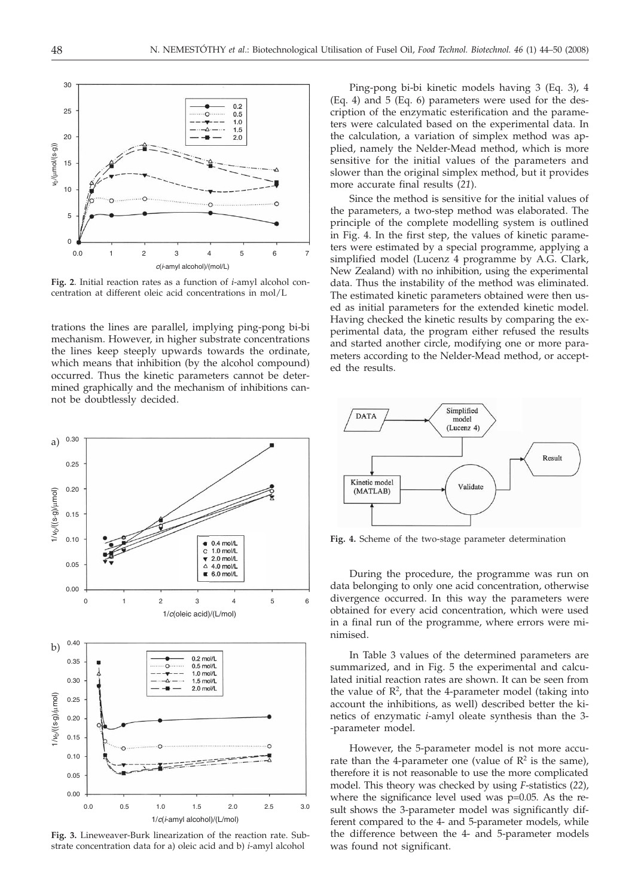

**Fig. 2**. Initial reaction rates as a function of *i*-amyl alcohol concentration at different oleic acid concentrations in mol/L

trations the lines are parallel, implying ping-pong bi-bi mechanism. However, in higher substrate concentrations the lines keep steeply upwards towards the ordinate, which means that inhibition (by the alcohol compound) occurred. Thus the kinetic parameters cannot be determined graphically and the mechanism of inhibitions cannot be doubtlessly decided.



**Fig. 3.** Lineweaver-Burk linearization of the reaction rate. Substrate concentration data for a) oleic acid and b) *i*-amyl alcohol

Ping-pong bi-bi kinetic models having 3 (Eq. 3), 4 (Eq. 4) and 5 (Eq. 6) parameters were used for the description of the enzymatic esterification and the parameters were calculated based on the experimental data. In the calculation, a variation of simplex method was applied, namely the Nelder-Mead method, which is more sensitive for the initial values of the parameters and slower than the original simplex method, but it provides more accurate final results (*21*).

Since the method is sensitive for the initial values of the parameters, a two-step method was elaborated. The principle of the complete modelling system is outlined in Fig. 4. In the first step, the values of kinetic parameters were estimated by a special programme, applying a simplified model (Lucenz 4 programme by A.G. Clark, New Zealand) with no inhibition, using the experimental data. Thus the instability of the method was eliminated. The estimated kinetic parameters obtained were then used as initial parameters for the extended kinetic model. Having checked the kinetic results by comparing the experimental data, the program either refused the results and started another circle, modifying one or more parameters according to the Nelder-Mead method, or accepted the results.



**Fig. 4.** Scheme of the two-stage parameter determination

During the procedure, the programme was run on data belonging to only one acid concentration, otherwise divergence occurred. In this way the parameters were obtained for every acid concentration, which were used in a final run of the programme, where errors were minimised.

In Table 3 values of the determined parameters are summarized, and in Fig. 5 the experimental and calculated initial reaction rates are shown. It can be seen from the value of  $\mathbb{R}^2$ , that the 4-parameter model (taking into account the inhibitions, as well) described better the kinetics of enzymatic *i*-amyl oleate synthesis than the 3- -parameter model.

However, the 5-parameter model is not more accurate than the 4-parameter one (value of  $\mathbb{R}^2$  is the same), therefore it is not reasonable to use the more complicated model. This theory was checked by using *F*-statistics (*22*), where the significance level used was p=0.05. As the result shows the 3-parameter model was significantly different compared to the 4- and 5-parameter models, while the difference between the 4- and 5-parameter models was found not significant.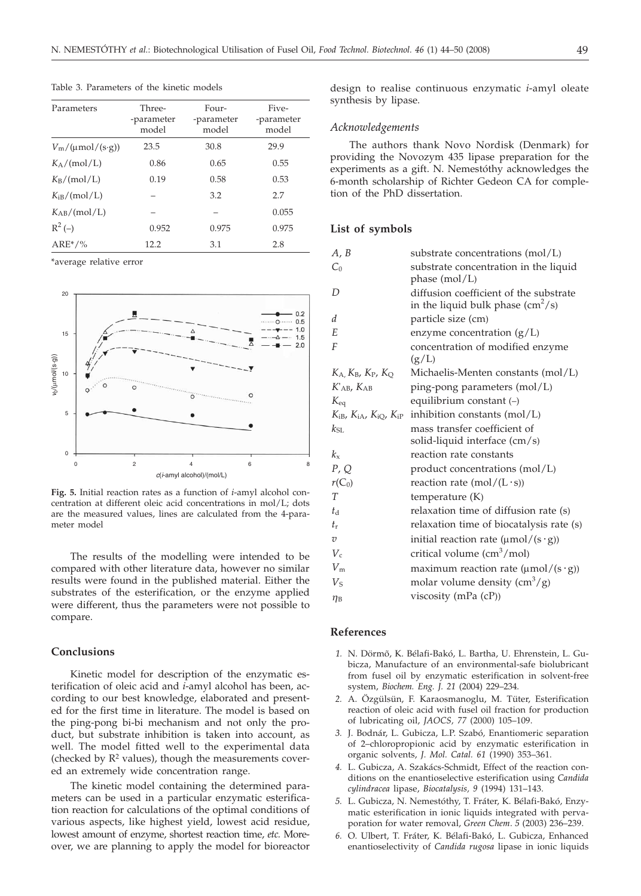| Parameters                  | Three-<br>-parameter<br>model | Four-<br>-parameter<br>model | Five-<br>-parameter<br>model |
|-----------------------------|-------------------------------|------------------------------|------------------------------|
| $V_{\rm m}/(\mu$ mol/(s·g)) | 23.5                          | 30.8                         | 29.9                         |
| $K_A/(mol/L)$               | 0.86                          | 0.65                         | 0.55                         |
| $K_B/(mol/L)$               | 0.19                          | 0.58                         | 0.53                         |
| K <sub>iB</sub> /(mol/L)    |                               | 3.2                          | 2.7                          |
| $K_{AB}/(mol/L)$            |                               |                              | 0.055                        |
| $R^2(-)$                    | 0.952                         | 0.975                        | 0.975                        |
| $ARE*/%$                    | 12.2                          | 3.1                          | 2.8                          |

Table 3. Parameters of the kinetic models

\*average relative error



**Fig. 5.** Initial reaction rates as a function of *i*-amyl alcohol concentration at different oleic acid concentrations in mol/L; dots are the measured values, lines are calculated from the 4-parameter model

The results of the modelling were intended to be compared with other literature data, however no similar results were found in the published material. Either the substrates of the esterification, or the enzyme applied were different, thus the parameters were not possible to compare.

#### **Conclusions**

Kinetic model for description of the enzymatic esterification of oleic acid and *i*-amyl alcohol has been, according to our best knowledge, elaborated and presented for the first time in literature. The model is based on the ping-pong bi-bi mechanism and not only the product, but substrate inhibition is taken into account, as well. The model fitted well to the experimental data (checked by  $\mathbb{R}^2$  values), though the measurements covered an extremely wide concentration range.

The kinetic model containing the determined parameters can be used in a particular enzymatic esterification reaction for calculations of the optimal conditions of various aspects, like highest yield, lowest acid residue, lowest amount of enzyme, shortest reaction time, *etc.* Moreover, we are planning to apply the model for bioreactor

design to realise continuous enzymatic *i*-amyl oleate synthesis by lipase.

#### *Acknowledgements*

The authors thank Novo Nordisk (Denmark) for providing the Novozym 435 lipase preparation for the experiments as a gift. N. Nemestóthy acknowledges the 6-month scholarship of Richter Gedeon CA for completion of the PhD dissertation.

#### **List of symbols**

| A, B                                                                  | substrate concentrations (mol/L)                                                  |
|-----------------------------------------------------------------------|-----------------------------------------------------------------------------------|
| $C_0$                                                                 | substrate concentration in the liquid<br>phase (mol/L)                            |
| D                                                                     | diffusion coefficient of the substrate<br>in the liquid bulk phase $\rm (cm^2/s)$ |
| d                                                                     | particle size (cm)                                                                |
| E                                                                     | enzyme concentration $(g/L)$                                                      |
| F                                                                     | concentration of modified enzyme<br>(g/L)                                         |
| $K_A$ , $K_B$ , $K_P$ , $K_O$                                         | Michaelis-Menten constants (mol/L)                                                |
| $K_{AB}$ , $K_{AB}$                                                   | ping-pong parameters (mol/L)                                                      |
| $K_{\text{eq}}$                                                       | equilibrium constant (-)                                                          |
| $K_{\text{iB}}$ , $K_{\text{iA}}$ , $K_{\text{iQ}}$ , $K_{\text{iP}}$ | inhibition constants $(mol/L)$                                                    |
| $k_{\text{SL}}$                                                       | mass transfer coefficient of<br>solid-liquid interface (cm/s)                     |
| $k_{\rm v}$                                                           | reaction rate constants                                                           |
| P, Q                                                                  | product concentrations (mol/L)                                                    |
| $r(C_0)$                                                              | reaction rate $(mol/(L \cdot s))$                                                 |
| T                                                                     | temperature (K)                                                                   |
| ta                                                                    | relaxation time of diffusion rate (s)                                             |
| $t_{\rm r}$                                                           | relaxation time of biocatalysis rate (s)                                          |
| υ                                                                     | initial reaction rate $(\mu mol/(s \cdot g))$                                     |
| $V_c$                                                                 | critical volume (cm <sup>3</sup> /mol)                                            |
| $V_{\rm m}$                                                           | maximum reaction rate $(\mu mol/(s \cdot g))$                                     |
| $V_{\rm S}$                                                           | molar volume density $\left(\text{cm}^3/\text{g}\right)$                          |
| $\eta_{\rm B}$                                                        | viscosity (mPa $(cP)$ )                                                           |

#### **References**

- *1.* N. Dörmõ, K. Bélafi-Bakó, L. Bartha, U. Ehrenstein, L. Gubicza, Manufacture of an environmental-safe biolubricant from fusel oil by enzymatic esterification in solvent-free system, *Biochem. Eng. J. 21* (2004) 229–234.
- *2.* A. Özgülsün, F. Karaosmanoglu, M. Tüter, Esterification reaction of oleic acid with fusel oil fraction for production of lubricating oil, *JAOCS, 77* (2000) 105–109.
- *3.* J. Bodnár, L. Gubicza, L.P. Szabó*,* Enantiomeric separation of 2–chloropropionic acid by enzymatic esterification in organic solvents, *J. Mol. Catal. 61* (1990) 353–361.
- *4.* L. Gubicza, A. Szakács-Schmidt, Effect of the reaction conditions on the enantioselective esterification using *Candida cylindracea* lipase, *Biocatalysis, 9* (1994) 131–143.
- *5.* L. Gubicza, N. Nemestóthy, T. Fráter, K. Bélafi-Bakó*,* Enzymatic esterification in ionic liquids integrated with pervaporation for water removal, *Green Chem*. *5* (2003) 236–239.
- *6.* O. Ulbert, T. Fráter, K. Bélafi-Bakó, L. Gubicza, Enhanced enantioselectivity of *Candida rugosa* lipase in ionic liquids